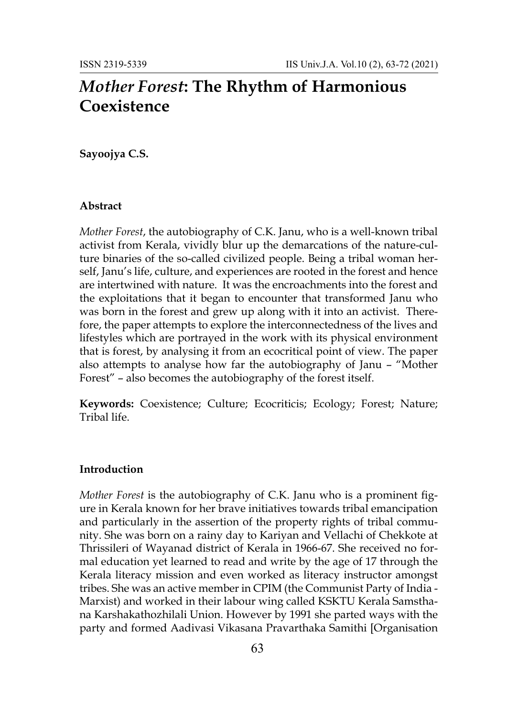# *Mother Forest***: The Rhythm of Harmonious Coexistence**

## **Sayoojya C.S.**

#### **Abstract**

*Mother Forest*, the autobiography of C.K. Janu, who is a well-known tribal activist from Kerala, vividly blur up the demarcations of the nature-culture binaries of the so-called civilized people. Being a tribal woman herself, Janu's life, culture, and experiences are rooted in the forest and hence are intertwined with nature. It was the encroachments into the forest and the exploitations that it began to encounter that transformed Janu who was born in the forest and grew up along with it into an activist. Therefore, the paper attempts to explore the interconnectedness of the lives and lifestyles which are portrayed in the work with its physical environment that is forest, by analysing it from an ecocritical point of view. The paper also attempts to analyse how far the autobiography of Janu – "Mother Forest" – also becomes the autobiography of the forest itself.

**Keywords:** Coexistence; Culture; Ecocriticis; Ecology; Forest; Nature; Tribal life.

#### **Introduction**

*Mother Forest* is the autobiography of C.K. Janu who is a prominent figure in Kerala known for her brave initiatives towards tribal emancipation and particularly in the assertion of the property rights of tribal community. She was born on a rainy day to Kariyan and Vellachi of Chekkote at Thrissileri of Wayanad district of Kerala in 1966-67. She received no formal education yet learned to read and write by the age of 17 through the Kerala literacy mission and even worked as literacy instructor amongst tribes. She was an active member in CPIM (the Communist Party of India - Marxist) and worked in their labour wing called KSKTU Kerala Samsthana Karshakathozhilali Union. However by 1991 she parted ways with the party and formed Aadivasi Vikasana Pravarthaka Samithi [Organisation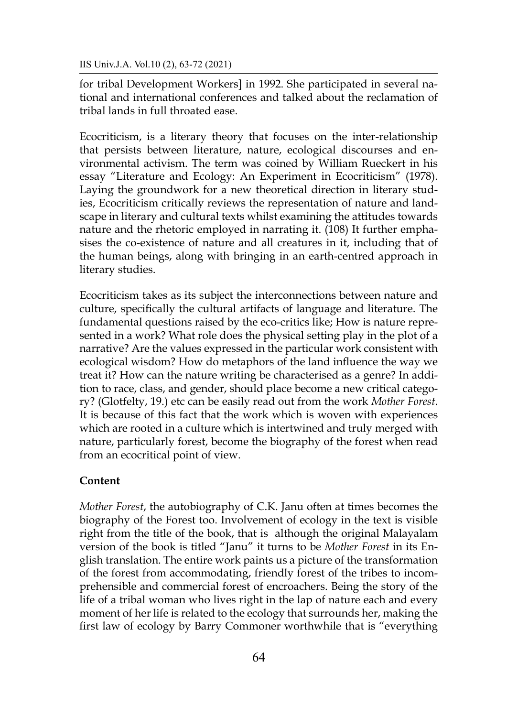IIS Univ.J.A. Vol.10 (2), 63-72 (2021)

for tribal Development Workers] in 1992. She participated in several national and international conferences and talked about the reclamation of tribal lands in full throated ease.

Ecocriticism, is a literary theory that focuses on the inter-relationship that persists between literature, nature, ecological discourses and environmental activism. The term was coined by William Rueckert in his essay "Literature and Ecology: An Experiment in Ecocriticism" (1978). Laying the groundwork for a new theoretical direction in literary studies, Ecocriticism critically reviews the representation of nature and landscape in literary and cultural texts whilst examining the attitudes towards nature and the rhetoric employed in narrating it. (108) It further emphasises the co-existence of nature and all creatures in it, including that of the human beings, along with bringing in an earth-centred approach in literary studies.

Ecocriticism takes as its subject the interconnections between nature and culture, specifically the cultural artifacts of language and literature. The fundamental questions raised by the eco-critics like; How is nature represented in a work? What role does the physical setting play in the plot of a narrative? Are the values expressed in the particular work consistent with ecological wisdom? How do metaphors of the land influence the way we treat it? How can the nature writing be characterised as a genre? In addition to race, class, and gender, should place become a new critical category? (Glotfelty, 19.) etc can be easily read out from the work *Mother Forest*. It is because of this fact that the work which is woven with experiences which are rooted in a culture which is intertwined and truly merged with nature, particularly forest, become the biography of the forest when read from an ecocritical point of view.

### **Content**

*Mother Forest*, the autobiography of C.K. Janu often at times becomes the biography of the Forest too. Involvement of ecology in the text is visible right from the title of the book, that is although the original Malayalam version of the book is titled "Janu" it turns to be *Mother Forest* in its English translation. The entire work paints us a picture of the transformation of the forest from accommodating, friendly forest of the tribes to incomprehensible and commercial forest of encroachers. Being the story of the life of a tribal woman who lives right in the lap of nature each and every moment of her life is related to the ecology that surrounds her, making the first law of ecology by Barry Commoner worthwhile that is "everything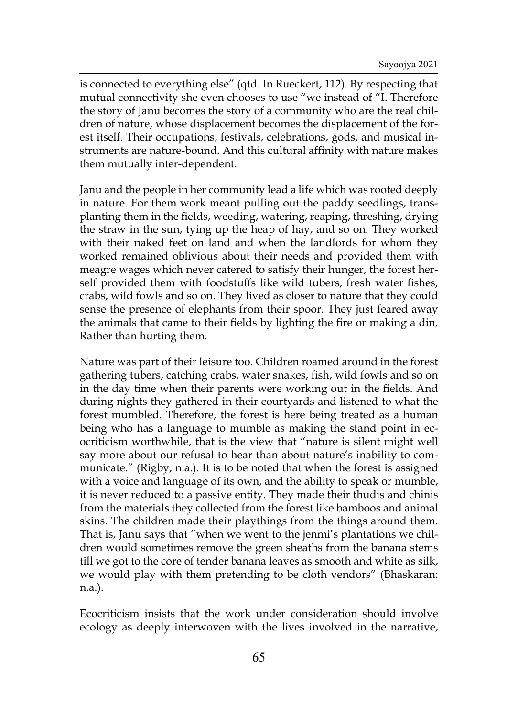is connected to everything else" (qtd. In Rueckert, 112). By respecting that mutual connectivity she even chooses to use "we instead of "I. Therefore the story of Janu becomes the story of a community who are the real children of nature, whose displacement becomes the displacement of the forest itself. Their occupations, festivals, celebrations, gods, and musical instruments are nature-bound. And this cultural affinity with nature makes them mutually inter-dependent.

Janu and the people in her community lead a life which was rooted deeply in nature. For them work meant pulling out the paddy seedlings, transplanting them in the fields, weeding, watering, reaping, threshing, drying the straw in the sun, tying up the heap of hay, and so on. They worked with their naked feet on land and when the landlords for whom they worked remained oblivious about their needs and provided them with meagre wages which never catered to satisfy their hunger, the forest herself provided them with foodstuffs like wild tubers, fresh water fishes, crabs, wild fowls and so on. They lived as closer to nature that they could sense the presence of elephants from their spoor. They just feared away the animals that came to their fields by lighting the fire or making a din, Rather than hurting them.

Nature was part of their leisure too. Children roamed around in the forest gathering tubers, catching crabs, water snakes, fish, wild fowls and so on in the day time when their parents were working out in the fields. And during nights they gathered in their courtyards and listened to what the forest mumbled. Therefore, the forest is here being treated as a human being who has a language to mumble as making the stand point in ecocriticism worthwhile, that is the view that "nature is silent might well say more about our refusal to hear than about nature's inability to communicate." (Rigby, n.a.). It is to be noted that when the forest is assigned with a voice and language of its own, and the ability to speak or mumble, it is never reduced to a passive entity. They made their thudis and chinis from the materials they collected from the forest like bamboos and animal skins. The children made their playthings from the things around them. That is, Janu says that "when we went to the jenmi's plantations we children would sometimes remove the green sheaths from the banana stems till we got to the core of tender banana leaves as smooth and white as silk, we would play with them pretending to be cloth vendors" (Bhaskaran: n.a.).

Ecocriticism insists that the work under consideration should involve ecology as deeply interwoven with the lives involved in the narrative,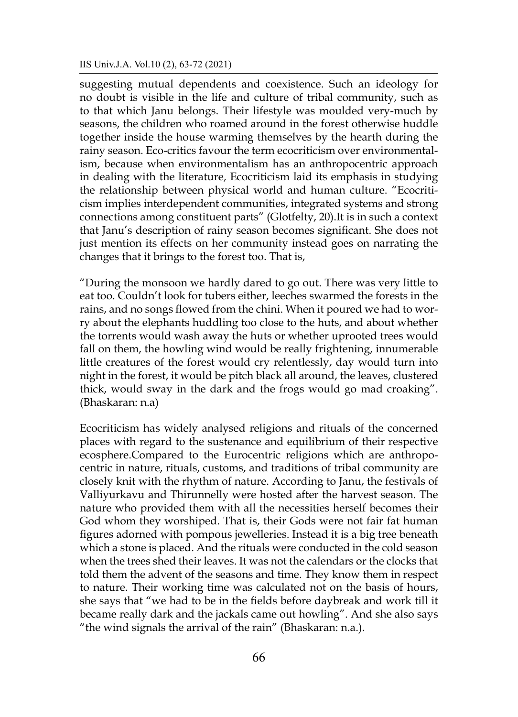suggesting mutual dependents and coexistence. Such an ideology for no doubt is visible in the life and culture of tribal community, such as to that which Janu belongs. Their lifestyle was moulded very-much by seasons, the children who roamed around in the forest otherwise huddle together inside the house warming themselves by the hearth during the rainy season. Eco-critics favour the term ecocriticism over environmentalism, because when environmentalism has an anthropocentric approach in dealing with the literature, Ecocriticism laid its emphasis in studying the relationship between physical world and human culture. "Ecocriticism implies interdependent communities, integrated systems and strong connections among constituent parts" (Glotfelty, 20).It is in such a context that Janu's description of rainy season becomes significant. She does not just mention its effects on her community instead goes on narrating the changes that it brings to the forest too. That is,

"During the monsoon we hardly dared to go out. There was very little to eat too. Couldn't look for tubers either, leeches swarmed the forests in the rains, and no songs flowed from the chini. When it poured we had to worry about the elephants huddling too close to the huts, and about whether the torrents would wash away the huts or whether uprooted trees would fall on them, the howling wind would be really frightening, innumerable little creatures of the forest would cry relentlessly, day would turn into night in the forest, it would be pitch black all around, the leaves, clustered thick, would sway in the dark and the frogs would go mad croaking". (Bhaskaran: n.a)

Ecocriticism has widely analysed religions and rituals of the concerned places with regard to the sustenance and equilibrium of their respective ecosphere.Compared to the Eurocentric religions which are anthropocentric in nature, rituals, customs, and traditions of tribal community are closely knit with the rhythm of nature. According to Janu, the festivals of Valliyurkavu and Thirunnelly were hosted after the harvest season. The nature who provided them with all the necessities herself becomes their God whom they worshiped. That is, their Gods were not fair fat human figures adorned with pompous jewelleries. Instead it is a big tree beneath which a stone is placed. And the rituals were conducted in the cold season when the trees shed their leaves. It was not the calendars or the clocks that told them the advent of the seasons and time. They know them in respect to nature. Their working time was calculated not on the basis of hours, she says that "we had to be in the fields before daybreak and work till it became really dark and the jackals came out howling". And she also says "the wind signals the arrival of the rain" (Bhaskaran: n.a.).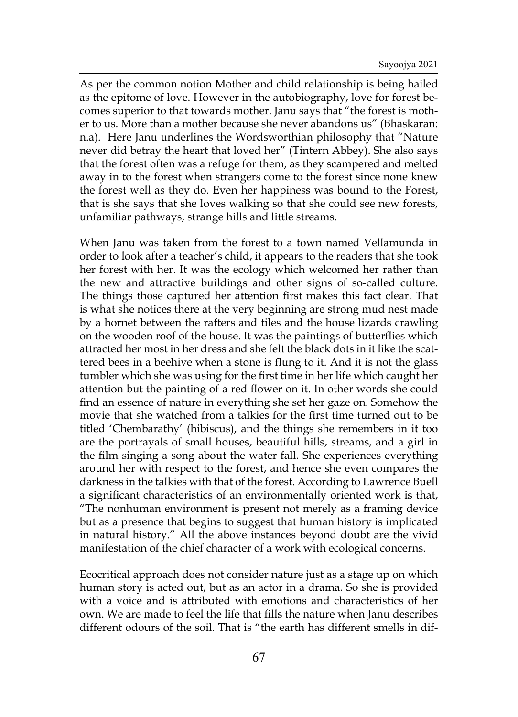As per the common notion Mother and child relationship is being hailed as the epitome of love. However in the autobiography, love for forest becomes superior to that towards mother. Janu says that "the forest is mother to us. More than a mother because she never abandons us" (Bhaskaran: n.a). Here Janu underlines the Wordsworthian philosophy that "Nature never did betray the heart that loved her" (Tintern Abbey). She also says that the forest often was a refuge for them, as they scampered and melted away in to the forest when strangers come to the forest since none knew the forest well as they do. Even her happiness was bound to the Forest, that is she says that she loves walking so that she could see new forests, unfamiliar pathways, strange hills and little streams.

When Janu was taken from the forest to a town named Vellamunda in order to look after a teacher's child, it appears to the readers that she took her forest with her. It was the ecology which welcomed her rather than the new and attractive buildings and other signs of so-called culture. The things those captured her attention first makes this fact clear. That is what she notices there at the very beginning are strong mud nest made by a hornet between the rafters and tiles and the house lizards crawling on the wooden roof of the house. It was the paintings of butterflies which attracted her most in her dress and she felt the black dots in it like the scattered bees in a beehive when a stone is flung to it. And it is not the glass tumbler which she was using for the first time in her life which caught her attention but the painting of a red flower on it. In other words she could find an essence of nature in everything she set her gaze on. Somehow the movie that she watched from a talkies for the first time turned out to be titled 'Chembarathy' (hibiscus), and the things she remembers in it too are the portrayals of small houses, beautiful hills, streams, and a girl in the film singing a song about the water fall. She experiences everything around her with respect to the forest, and hence she even compares the darkness in the talkies with that of the forest. According to Lawrence Buell a significant characteristics of an environmentally oriented work is that, "The nonhuman environment is present not merely as a framing device but as a presence that begins to suggest that human history is implicated in natural history." All the above instances beyond doubt are the vivid manifestation of the chief character of a work with ecological concerns.

Ecocritical approach does not consider nature just as a stage up on which human story is acted out, but as an actor in a drama. So she is provided with a voice and is attributed with emotions and characteristics of her own. We are made to feel the life that fills the nature when Janu describes different odours of the soil. That is "the earth has different smells in dif-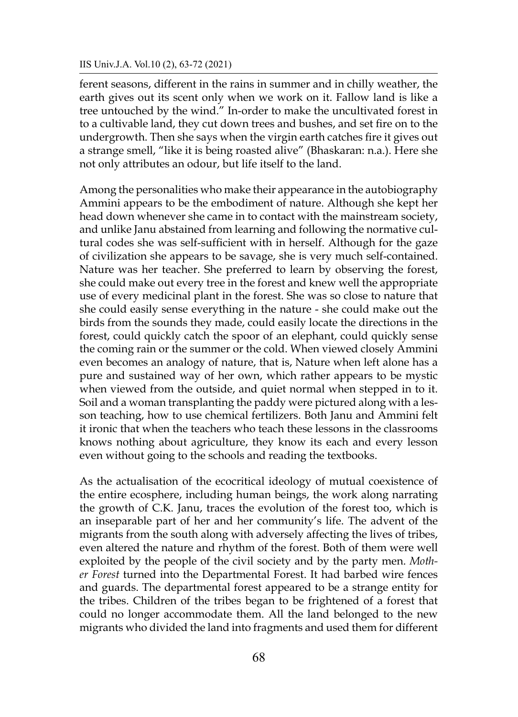#### IIS Univ.J.A. Vol.10 (2), 63-72 (2021)

ferent seasons, different in the rains in summer and in chilly weather, the earth gives out its scent only when we work on it. Fallow land is like a tree untouched by the wind." In-order to make the uncultivated forest in to a cultivable land, they cut down trees and bushes, and set fire on to the undergrowth. Then she says when the virgin earth catches fire it gives out a strange smell, "like it is being roasted alive" (Bhaskaran: n.a.). Here she not only attributes an odour, but life itself to the land.

Among the personalities who make their appearance in the autobiography Ammini appears to be the embodiment of nature. Although she kept her head down whenever she came in to contact with the mainstream society, and unlike Janu abstained from learning and following the normative cultural codes she was self-sufficient with in herself. Although for the gaze of civilization she appears to be savage, she is very much self-contained. Nature was her teacher. She preferred to learn by observing the forest, she could make out every tree in the forest and knew well the appropriate use of every medicinal plant in the forest. She was so close to nature that she could easily sense everything in the nature - she could make out the birds from the sounds they made, could easily locate the directions in the forest, could quickly catch the spoor of an elephant, could quickly sense the coming rain or the summer or the cold. When viewed closely Ammini even becomes an analogy of nature, that is, Nature when left alone has a pure and sustained way of her own, which rather appears to be mystic when viewed from the outside, and quiet normal when stepped in to it. Soil and a woman transplanting the paddy were pictured along with a lesson teaching, how to use chemical fertilizers. Both Janu and Ammini felt it ironic that when the teachers who teach these lessons in the classrooms knows nothing about agriculture, they know its each and every lesson even without going to the schools and reading the textbooks.

As the actualisation of the ecocritical ideology of mutual coexistence of the entire ecosphere, including human beings, the work along narrating the growth of C.K. Janu, traces the evolution of the forest too, which is an inseparable part of her and her community's life. The advent of the migrants from the south along with adversely affecting the lives of tribes, even altered the nature and rhythm of the forest. Both of them were well exploited by the people of the civil society and by the party men. *Mother Forest* turned into the Departmental Forest. It had barbed wire fences and guards. The departmental forest appeared to be a strange entity for the tribes. Children of the tribes began to be frightened of a forest that could no longer accommodate them. All the land belonged to the new migrants who divided the land into fragments and used them for different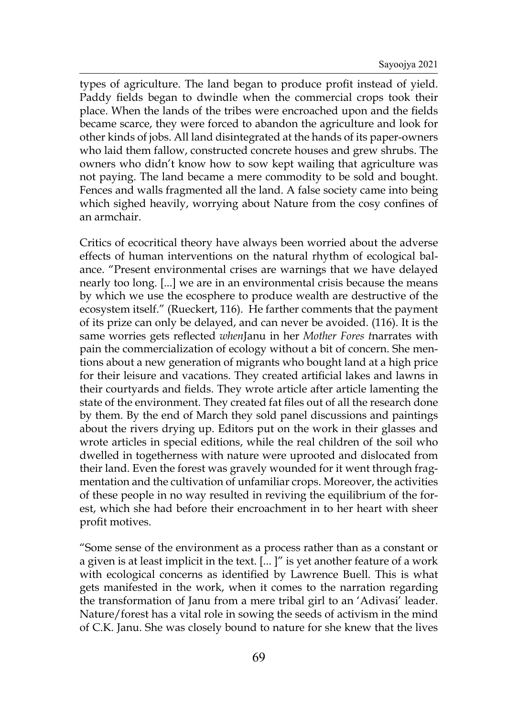types of agriculture. The land began to produce profit instead of yield. Paddy fields began to dwindle when the commercial crops took their place. When the lands of the tribes were encroached upon and the fields became scarce, they were forced to abandon the agriculture and look for other kinds of jobs. All land disintegrated at the hands of its paper-owners who laid them fallow, constructed concrete houses and grew shrubs. The owners who didn't know how to sow kept wailing that agriculture was not paying. The land became a mere commodity to be sold and bought. Fences and walls fragmented all the land. A false society came into being which sighed heavily, worrying about Nature from the cosy confines of an armchair.

Critics of ecocritical theory have always been worried about the adverse effects of human interventions on the natural rhythm of ecological balance. "Present environmental crises are warnings that we have delayed nearly too long. [...] we are in an environmental crisis because the means by which we use the ecosphere to produce wealth are destructive of the ecosystem itself." (Rueckert, 116). He farther comments that the payment of its prize can only be delayed, and can never be avoided. (116). It is the same worries gets reflected *when*Janu in her *Mother Fores t*narrates with pain the commercialization of ecology without a bit of concern. She mentions about a new generation of migrants who bought land at a high price for their leisure and vacations. They created artificial lakes and lawns in their courtyards and fields. They wrote article after article lamenting the state of the environment. They created fat files out of all the research done by them. By the end of March they sold panel discussions and paintings about the rivers drying up. Editors put on the work in their glasses and wrote articles in special editions, while the real children of the soil who dwelled in togetherness with nature were uprooted and dislocated from their land. Even the forest was gravely wounded for it went through fragmentation and the cultivation of unfamiliar crops. Moreover, the activities of these people in no way resulted in reviving the equilibrium of the forest, which she had before their encroachment in to her heart with sheer profit motives.

"Some sense of the environment as a process rather than as a constant or a given is at least implicit in the text. [... ]" is yet another feature of a work with ecological concerns as identified by Lawrence Buell. This is what gets manifested in the work, when it comes to the narration regarding the transformation of Janu from a mere tribal girl to an 'Adivasi' leader. Nature/forest has a vital role in sowing the seeds of activism in the mind of C.K. Janu. She was closely bound to nature for she knew that the lives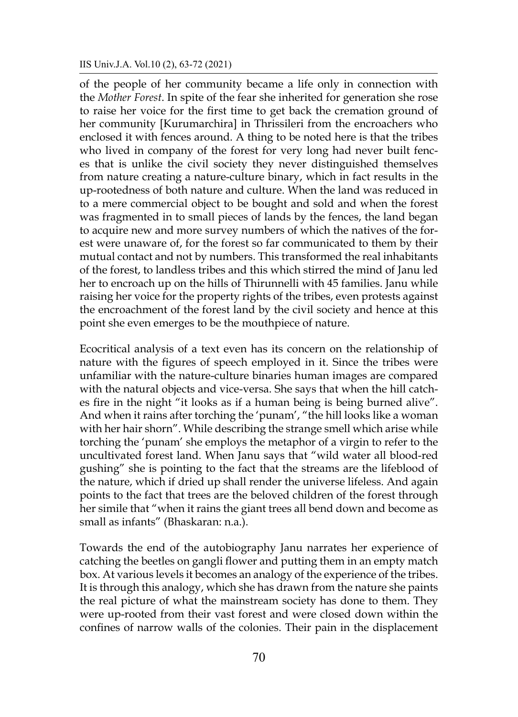#### IIS Univ.J.A. Vol.10 (2), 63-72 (2021)

of the people of her community became a life only in connection with the *Mother Forest*. In spite of the fear she inherited for generation she rose to raise her voice for the first time to get back the cremation ground of her community [Kurumarchira] in Thrissileri from the encroachers who enclosed it with fences around. A thing to be noted here is that the tribes who lived in company of the forest for very long had never built fences that is unlike the civil society they never distinguished themselves from nature creating a nature-culture binary, which in fact results in the up-rootedness of both nature and culture. When the land was reduced in to a mere commercial object to be bought and sold and when the forest was fragmented in to small pieces of lands by the fences, the land began to acquire new and more survey numbers of which the natives of the forest were unaware of, for the forest so far communicated to them by their mutual contact and not by numbers. This transformed the real inhabitants of the forest, to landless tribes and this which stirred the mind of Janu led her to encroach up on the hills of Thirunnelli with 45 families. Janu while raising her voice for the property rights of the tribes, even protests against the encroachment of the forest land by the civil society and hence at this point she even emerges to be the mouthpiece of nature.

Ecocritical analysis of a text even has its concern on the relationship of nature with the figures of speech employed in it. Since the tribes were unfamiliar with the nature-culture binaries human images are compared with the natural objects and vice-versa. She says that when the hill catches fire in the night "it looks as if a human being is being burned alive". And when it rains after torching the 'punam', "the hill looks like a woman with her hair shorn". While describing the strange smell which arise while torching the 'punam' she employs the metaphor of a virgin to refer to the uncultivated forest land. When Janu says that "wild water all blood-red gushing" she is pointing to the fact that the streams are the lifeblood of the nature, which if dried up shall render the universe lifeless. And again points to the fact that trees are the beloved children of the forest through her simile that "when it rains the giant trees all bend down and become as small as infants" (Bhaskaran: n.a.).

Towards the end of the autobiography Janu narrates her experience of catching the beetles on gangli flower and putting them in an empty match box. At various levels it becomes an analogy of the experience of the tribes. It is through this analogy, which she has drawn from the nature she paints the real picture of what the mainstream society has done to them. They were up-rooted from their vast forest and were closed down within the confines of narrow walls of the colonies. Their pain in the displacement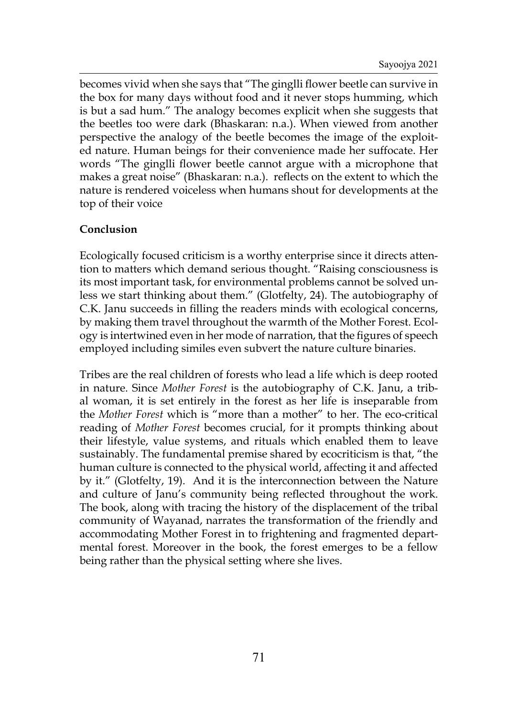becomes vivid when she says that "The ginglli flower beetle can survive in the box for many days without food and it never stops humming, which is but a sad hum." The analogy becomes explicit when she suggests that the beetles too were dark (Bhaskaran: n.a.). When viewed from another perspective the analogy of the beetle becomes the image of the exploited nature. Human beings for their convenience made her suffocate. Her words "The ginglli flower beetle cannot argue with a microphone that makes a great noise" (Bhaskaran: n.a.). reflects on the extent to which the nature is rendered voiceless when humans shout for developments at the top of their voice

## **Conclusion**

Ecologically focused criticism is a worthy enterprise since it directs attention to matters which demand serious thought. "Raising consciousness is its most important task, for environmental problems cannot be solved unless we start thinking about them." (Glotfelty, 24). The autobiography of C.K. Janu succeeds in filling the readers minds with ecological concerns, by making them travel throughout the warmth of the Mother Forest. Ecology is intertwined even in her mode of narration, that the figures of speech employed including similes even subvert the nature culture binaries.

Tribes are the real children of forests who lead a life which is deep rooted in nature. Since *Mother Forest* is the autobiography of C.K. Janu, a tribal woman, it is set entirely in the forest as her life is inseparable from the *Mother Forest* which is "more than a mother" to her. The eco-critical reading of *Mother Forest* becomes crucial, for it prompts thinking about their lifestyle, value systems, and rituals which enabled them to leave sustainably. The fundamental premise shared by ecocriticism is that, "the human culture is connected to the physical world, affecting it and affected by it." (Glotfelty, 19). And it is the interconnection between the Nature and culture of Janu's community being reflected throughout the work. The book, along with tracing the history of the displacement of the tribal community of Wayanad, narrates the transformation of the friendly and accommodating Mother Forest in to frightening and fragmented departmental forest. Moreover in the book, the forest emerges to be a fellow being rather than the physical setting where she lives.